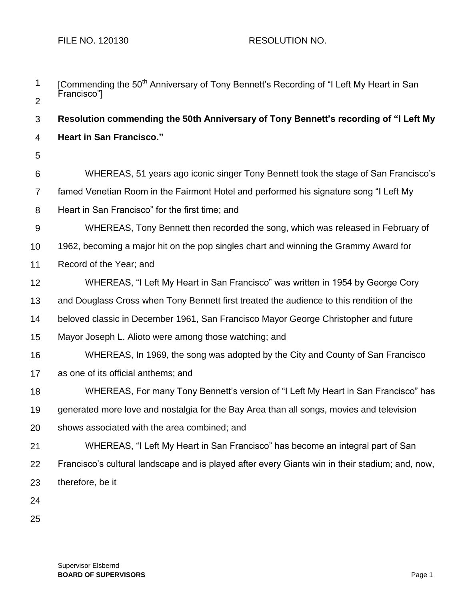FILE NO. 120130 RESOLUTION NO.

| $\mathbf 1$    | [Commending the 50 <sup>th</sup> Anniversary of Tony Bennett's Recording of "I Left My Heart in San<br>Francisco"] |
|----------------|--------------------------------------------------------------------------------------------------------------------|
| $\overline{2}$ |                                                                                                                    |
| 3              | Resolution commending the 50th Anniversary of Tony Bennett's recording of "I Left My                               |
| 4              | <b>Heart in San Francisco."</b>                                                                                    |
| 5              |                                                                                                                    |
| 6              | WHEREAS, 51 years ago iconic singer Tony Bennett took the stage of San Francisco's                                 |
| $\overline{7}$ | famed Venetian Room in the Fairmont Hotel and performed his signature song "I Left My                              |
| 8              | Heart in San Francisco" for the first time; and                                                                    |
| 9              | WHEREAS, Tony Bennett then recorded the song, which was released in February of                                    |
| 10             | 1962, becoming a major hit on the pop singles chart and winning the Grammy Award for                               |
| 11             | Record of the Year; and                                                                                            |
| 12             | WHEREAS, "I Left My Heart in San Francisco" was written in 1954 by George Cory                                     |
| 13             | and Douglass Cross when Tony Bennett first treated the audience to this rendition of the                           |
| 14             | beloved classic in December 1961, San Francisco Mayor George Christopher and future                                |
| 15             | Mayor Joseph L. Alioto were among those watching; and                                                              |
| 16             | WHEREAS, In 1969, the song was adopted by the City and County of San Francisco                                     |
| 17             | as one of its official anthems; and                                                                                |
| 18             | WHEREAS, For many Tony Bennett's version of "I Left My Heart in San Francisco" has                                 |
| 19             | generated more love and nostalgia for the Bay Area than all songs, movies and television                           |
| 20             | shows associated with the area combined; and                                                                       |
| 21             | WHEREAS, "I Left My Heart in San Francisco" has become an integral part of San                                     |
| 22             | Francisco's cultural landscape and is played after every Giants win in their stadium; and, now,                    |
| 23             | therefore, be it                                                                                                   |
| 24             |                                                                                                                    |
| 25             |                                                                                                                    |